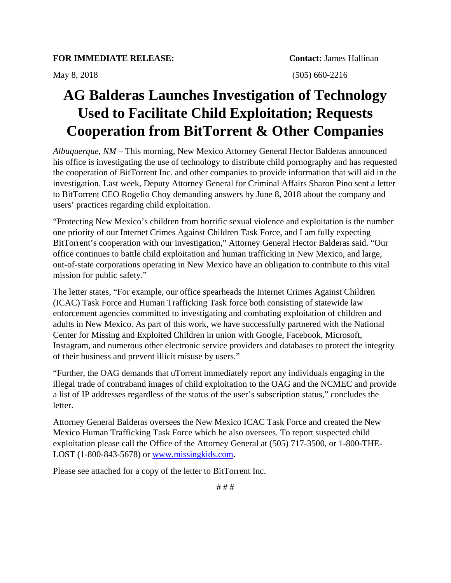## **AG Balderas Launches Investigation of Technology Used to Facilitate Child Exploitation; Requests Cooperation from BitTorrent & Other Companies**

*Albuquerque, NM* – This morning, New Mexico Attorney General Hector Balderas announced his office is investigating the use of technology to distribute child pornography and has requested the cooperation of BitTorrent Inc. and other companies to provide information that will aid in the investigation. Last week, Deputy Attorney General for Criminal Affairs Sharon Pino sent a letter to BitTorrent CEO Rogelio Choy demanding answers by June 8, 2018 about the company and users' practices regarding child exploitation.

"Protecting New Mexico's children from horrific sexual violence and exploitation is the number one priority of our Internet Crimes Against Children Task Force, and I am fully expecting BitTorrent's cooperation with our investigation," Attorney General Hector Balderas said. "Our office continues to battle child exploitation and human trafficking in New Mexico, and large, out-of-state corporations operating in New Mexico have an obligation to contribute to this vital mission for public safety."

The letter states, "For example, our office spearheads the Internet Crimes Against Children (ICAC) Task Force and Human Trafficking Task force both consisting of statewide law enforcement agencies committed to investigating and combating exploitation of children and adults in New Mexico. As part of this work, we have successfully partnered with the National Center for Missing and Exploited Children in union with Google, Facebook, Microsoft, Instagram, and numerous other electronic service providers and databases to protect the integrity of their business and prevent illicit misuse by users."

"Further, the OAG demands that uTorrent immediately report any individuals engaging in the illegal trade of contraband images of child exploitation to the OAG and the NCMEC and provide a list of IP addresses regardless of the status of the user's subscription status," concludes the letter.

Attorney General Balderas oversees the New Mexico ICAC Task Force and created the New Mexico Human Trafficking Task Force which he also oversees. To report suspected child exploitation please call the Office of the Attorney General at (505) 717-3500, or 1-800-THE-LOST (1-800-843-5678) or www.missingkids.com.

Please see attached for a copy of the letter to BitTorrent Inc.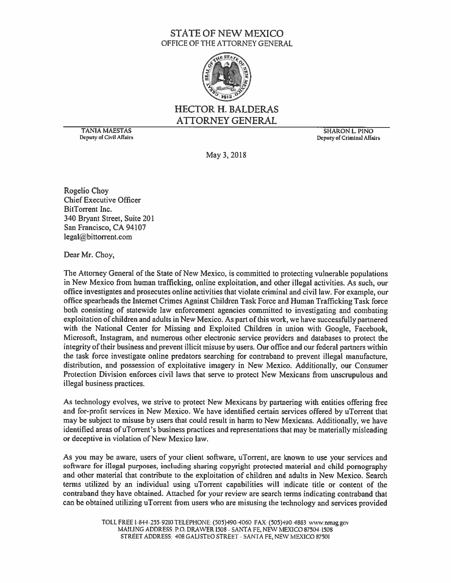## **STATE OF NEW MEXICO** OFFICE OF THE ATTORNEY GENERAL



## **HECTOR H. BALDERAS ATTORNEY GENERAL**

**TANIA MAESTAS** Deputy of Civil Affairs

**SHARON L PINO** Deputy of Criminal Affairs

May 3, 2018

Rogelio Choy **Chief Executive Officer BitTorrent Inc.** 340 Bryant Street, Suite 201 San Francisco, CA 94107 legal@bittorrent.com

Dear Mr. Choy,

The Attorney General of the State of New Mexico, is committed to protecting vulnerable populations in New Mexico from human trafficking, online exploitation, and other illegal activities. As such, our office investigates and prosecutes online activities that violate criminal and civil law. For example, our office spearheads the Internet Crimes Against Children Task Force and Human Trafficking Task force both consisting of statewide law enforcement agencies committed to investigating and combating exploitation of children and adults in New Mexico. As part of this work, we have successfully partnered with the National Center for Missing and Exploited Children in union with Google, Facebook, Microsoft, Instagram, and numerous other electronic service providers and databases to protect the integrity of their business and prevent illicit misuse by users. Our office and our federal partners within the task force investigate online predators searching for contraband to prevent illegal manufacture, distribution, and possession of exploitative imagery in New Mexico. Additionally, our Consumer Protection Division enforces civil laws that serve to protect New Mexicans from unscrupulous and illegal business practices.

As technology evolves, we strive to protect New Mexicans by partnering with entities offering free and for-profit services in New Mexico. We have identified certain services offered by uTorrent that may be subject to misuse by users that could result in harm to New Mexicans. Additionally, we have identified areas of uTorrent's business practices and representations that may be materially misleading or deceptive in violation of New Mexico law.

As you may be aware, users of your client software, uTorrent, are known to use your services and software for illegal purposes, including sharing copyright protected material and child pornography and other material that contribute to the exploitation of children and adults in New Mexico. Search terms utilized by an individual using uTorrent capabilities will indicate title or content of the contraband they have obtained. Attached for your review are search terms indicating contraband that can be obtained utilizing uTorrent from users who are misusing the technology and services provided